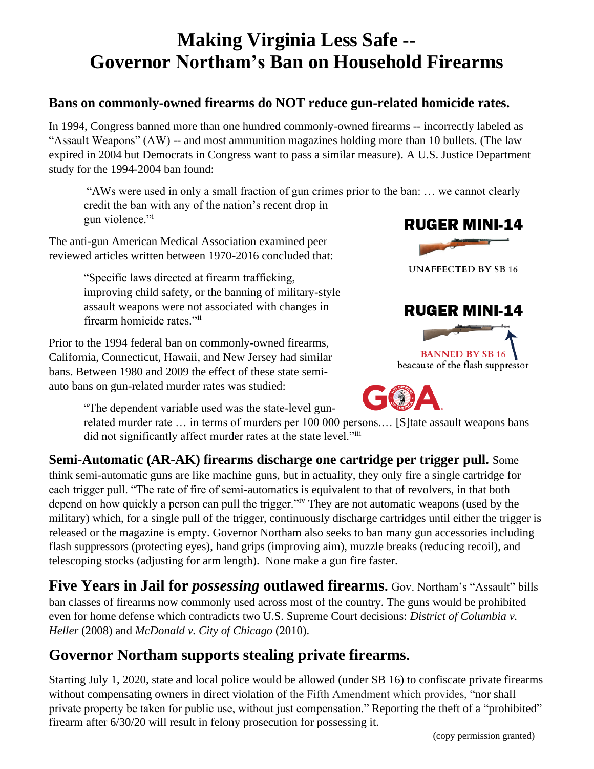# **Making Virginia Less Safe -- Governor Northam's Ban on Household Firearms**

#### **Bans on commonly-owned firearms do NOT reduce gun-related homicide rates.**

In 1994, Congress banned more than one hundred commonly-owned firearms -- incorrectly labeled as "Assault Weapons" (AW) -- and most ammunition magazines holding more than 10 bullets. (The law expired in 2004 but Democrats in Congress want to pass a similar measure). A U.S. Justice Department study for the 1994-2004 ban found:

"AWs were used in only a small fraction of gun crimes prior to the ban: … we cannot clearly credit the ban with any of the nation's recent drop in gun violence."

The anti-gun American Medical Association examined peer reviewed articles written between 1970-2016 concluded that:

> "Specific laws directed at firearm trafficking, improving child safety, or the banning of military-style assault weapons were not associated with changes in firearm homicide rates."ii

Prior to the 1994 federal ban on commonly-owned firearms, California, Connecticut, Hawaii, and New Jersey had similar bans. Between 1980 and 2009 the effect of these state semiauto bans on gun-related murder rates was studied:



"The dependent variable used was the state-level gun-

related murder rate … in terms of murders per 100 000 persons.… [S]tate assault weapons bans did not significantly affect murder rates at the state level."iii

**Semi-Automatic (AR-AK) firearms discharge one cartridge per trigger pull.** Some think semi-automatic guns are like machine guns, but in actuality, they only fire a single cartridge for

each trigger pull. "The rate of fire of semi-automatics is equivalent to that of revolvers, in that both depend on how quickly a person can pull the trigger.<sup>"iv</sup> They are not automatic weapons (used by the military) which, for a single pull of the trigger, continuously discharge cartridges until either the trigger is released or the magazine is empty. Governor Northam also seeks to ban many gun accessories including flash suppressors (protecting eyes), hand grips (improving aim), muzzle breaks (reducing recoil), and telescoping stocks (adjusting for arm length). None make a gun fire faster.

**Five Years in Jail for** *possessing* **outlawed firearms.** Gov. Northam's "Assault" bills ban classes of firearms now commonly used across most of the country. The guns would be prohibited even for home defense which contradicts two U.S. Supreme Court decisions: *District of Columbia v. Heller* (2008) and *McDonald v. City of Chicago* (2010).

#### **Governor Northam supports stealing private firearms.**

Starting July 1, 2020, state and local police would be allowed (under SB 16) to confiscate private firearms without compensating owners in direct violation of the Fifth Amendment which provides, "nor shall private property be taken for public use, without just compensation." Reporting the theft of a "prohibited" firearm after 6/30/20 will result in felony prosecution for possessing it.